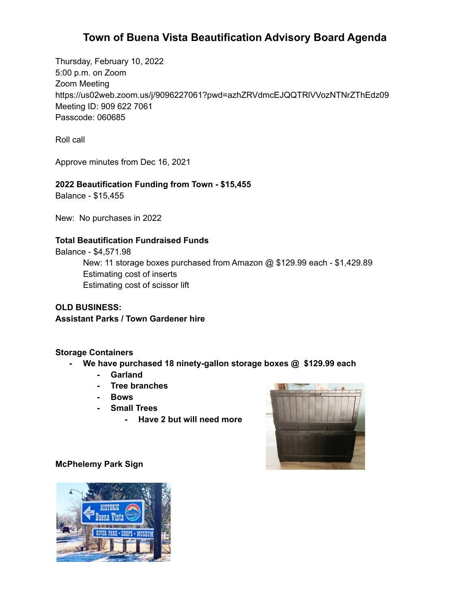# **Town of Buena Vista Beautification Advisory Board Agenda**

Thursday, February 10, 2022 5:00 p.m. on Zoom Zoom Meeting https://us02web.zoom.us/j/9096227061?pwd=azhZRVdmcEJQQTRlVVozNTNrZThEdz09 Meeting ID: 909 622 7061 Passcode: 060685

Roll call

Approve minutes from Dec 16, 2021

### **2022 Beautification Funding from Town - \$15,455**

Balance - \$15,455

New: No purchases in 2022

#### **Total Beautification Fundraised Funds**

Balance - \$4,571.98 New: 11 storage boxes purchased from Amazon @ \$129.99 each - \$1,429.89 Estimating cost of inserts Estimating cost of scissor lift

**OLD BUSINESS: Assistant Parks / Town Gardener hire**

#### **Storage Containers**

- **- We have purchased 18 ninety-gallon storage boxes @ \$129.99 each**
	- **- Garland**
	- **- Tree branches**
	- **- Bows**
	- **- Small Trees**
		- **- Have 2 but will need more**



#### **McPhelemy Park Sign**